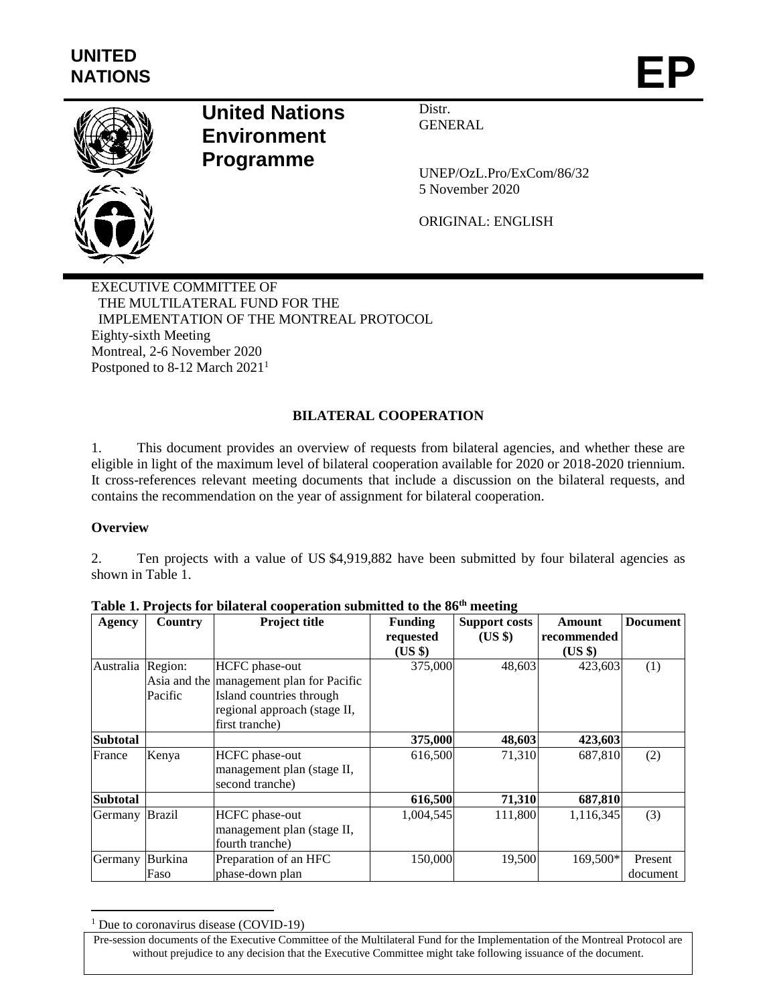

# **United Nations Environment Programme**

Distr. **GENERAL** 

UNEP/OzL.Pro/ExCom/86/32 5 November 2020

ORIGINAL: ENGLISH

EXECUTIVE COMMITTEE OF THE MULTILATERAL FUND FOR THE IMPLEMENTATION OF THE MONTREAL PROTOCOL Eighty-sixth Meeting Montreal, 2-6 November 2020 Postponed to 8-12 March 2021<sup>1</sup>

## **BILATERAL COOPERATION**

1. This document provides an overview of requests from bilateral agencies, and whether these are eligible in light of the maximum level of bilateral cooperation available for 2020 or 2018-2020 triennium. It cross-references relevant meeting documents that include a discussion on the bilateral requests, and contains the recommendation on the year of assignment for bilateral cooperation.

### **Overview**

 $\overline{a}$ 

2. Ten projects with a value of US \$4,919,882 have been submitted by four bilateral agencies as shown in Table 1.

| Agency          | Country       | <b>Project title</b>                     | <b>Funding</b> | <b>Support costs</b> | Amount      | <b>Document</b> |
|-----------------|---------------|------------------------------------------|----------------|----------------------|-------------|-----------------|
|                 |               |                                          | requested      | (US \$)              | recommended |                 |
|                 |               |                                          | (US \$)        |                      | $(US \$     |                 |
| Australia       | Region:       | <b>HCFC</b> phase-out                    | 375,000        | 48,603               | 423,603     | (1)             |
|                 |               | Asia and the management plan for Pacific |                |                      |             |                 |
|                 | Pacific       | Island countries through                 |                |                      |             |                 |
|                 |               | regional approach (stage II,             |                |                      |             |                 |
|                 |               | first tranche)                           |                |                      |             |                 |
| <b>Subtotal</b> |               |                                          | 375,000        | 48,603               | 423,603     |                 |
| France          | Kenya         | HCFC phase-out                           | 616,500        | 71,310               | 687,810     | (2)             |
|                 |               | management plan (stage II,               |                |                      |             |                 |
|                 |               | second tranche)                          |                |                      |             |                 |
| <b>Subtotal</b> |               |                                          | 616,500        | 71,310               | 687,810     |                 |
| Germany         | <b>Brazil</b> | <b>HCFC</b> phase-out                    | 1,004,545      | 111,800              | 1,116,345   | (3)             |
|                 |               | management plan (stage II,               |                |                      |             |                 |
|                 |               | fourth tranche)                          |                |                      |             |                 |
| Germany         | Burkina       | Preparation of an HFC                    | 150,000        | 19,500               | 169,500*    | Present         |
|                 | Faso          | phase-down plan                          |                |                      |             | document        |

| Table 1. Projects for bilateral cooperation submitted to the 86 <sup>th</sup> meeting |  |
|---------------------------------------------------------------------------------------|--|
|---------------------------------------------------------------------------------------|--|

<sup>&</sup>lt;sup>1</sup> Due to coronavirus disease (COVID-19)

Pre-session documents of the Executive Committee of the Multilateral Fund for the Implementation of the Montreal Protocol are without prejudice to any decision that the Executive Committee might take following issuance of the document.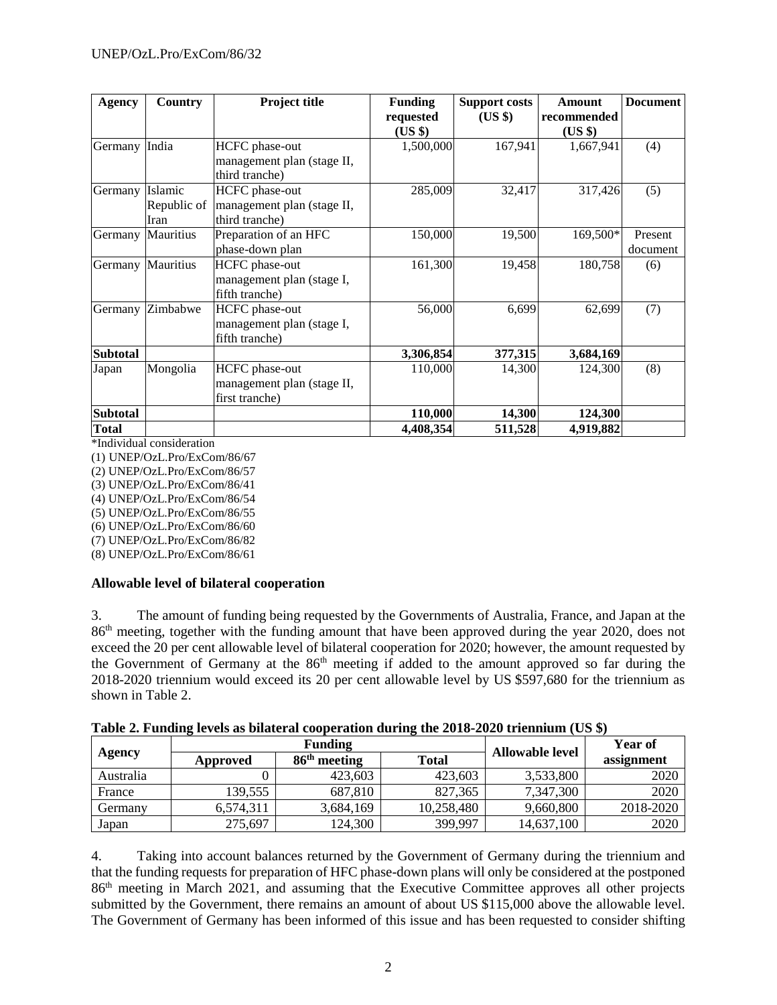| <b>Agency</b>   | Country     | <b>Project title</b>       | <b>Funding</b> | <b>Support costs</b> | Amount      | <b>Document</b> |
|-----------------|-------------|----------------------------|----------------|----------------------|-------------|-----------------|
|                 |             |                            | requested      | $(US \$              | recommended |                 |
|                 |             |                            | (US \$)        |                      | (US \$)     |                 |
| Germany         | India       | HCFC phase-out             | 1,500,000      | 167,941              | 1,667,941   | (4)             |
|                 |             | management plan (stage II, |                |                      |             |                 |
|                 |             | third tranche)             |                |                      |             |                 |
| Germany         | Islamic     | HCFC phase-out             | 285,009        | 32,417               | 317,426     | (5)             |
|                 | Republic of | management plan (stage II, |                |                      |             |                 |
|                 | Iran        | third tranche)             |                |                      |             |                 |
| Germany         | Mauritius   | Preparation of an HFC      | 150,000        | 19,500               | 169,500*    | Present         |
|                 |             | phase-down plan            |                |                      |             | document        |
| Germany         | Mauritius   | HCFC phase-out             | 161,300        | 19,458               | 180,758     | (6)             |
|                 |             | management plan (stage I,  |                |                      |             |                 |
|                 |             | fifth tranche)             |                |                      |             |                 |
| Germany         | Zimbabwe    | HCFC phase-out             | 56,000         | 6,699                | 62,699      | (7)             |
|                 |             | management plan (stage I,  |                |                      |             |                 |
|                 |             | fifth tranche)             |                |                      |             |                 |
| <b>Subtotal</b> |             |                            | 3,306,854      | 377,315              | 3,684,169   |                 |
| Japan           | Mongolia    | HCFC phase-out             | 110,000        | 14,300               | 124,300     | (8)             |
|                 |             | management plan (stage II, |                |                      |             |                 |
|                 |             | first tranche)             |                |                      |             |                 |
| <b>Subtotal</b> |             |                            | 110,000        | 14,300               | 124,300     |                 |
| Total           |             |                            | 4,408,354      | 511,528              | 4,919,882   |                 |

\*Individual consideration

(1) UNEP/OzL.Pro/ExCom/86/67

(2) UNEP/OzL.Pro/ExCom/86/57

(3) UNEP/OzL.Pro/ExCom/86/41

(4) UNEP/OzL.Pro/ExCom/86/54

(5) UNEP/OzL.Pro/ExCom/86/55

(6) UNEP/OzL.Pro/ExCom/86/60

(7) UNEP/OzL.Pro/ExCom/86/82

(8) UNEP/OzL.Pro/ExCom/86/61

#### **Allowable level of bilateral cooperation**

3. The amount of funding being requested by the Governments of Australia, France, and Japan at the 86th meeting, together with the funding amount that have been approved during the year 2020, does not exceed the 20 per cent allowable level of bilateral cooperation for 2020; however, the amount requested by the Government of Germany at the 86<sup>th</sup> meeting if added to the amount approved so far during the 2018-2020 triennium would exceed its 20 per cent allowable level by US \$597,680 for the triennium as shown in Table 2.

| Table 2. Funding levels as bilateral cooperation during the 2018-2020 triennium (US \$) |  |  |  |
|-----------------------------------------------------------------------------------------|--|--|--|
|                                                                                         |  |  |  |

|           | <b>Funding</b> |                |              | <b>Allowable level</b> | <b>Year of</b> |
|-----------|----------------|----------------|--------------|------------------------|----------------|
| Agency    | Approved       | $86th$ meeting | <b>Total</b> |                        | assignment     |
| Australia |                | 423,603        | 423,603      | 3,533,800              | 2020           |
| France    | 139.555        | 687.810        | 827,365      | 7,347,300              | 2020           |
| Germanv   | 6.574.311      | 3,684,169      | 10,258,480   | 9,660,800              | 2018-2020      |
| Japan     | 275,697        | 124,300        | 399,997      | 14,637,100             | 2020           |

4. Taking into account balances returned by the Government of Germany during the triennium and that the funding requests for preparation of HFC phase-down plans will only be considered at the postponed 86th meeting in March 2021, and assuming that the Executive Committee approves all other projects submitted by the Government, there remains an amount of about US \$115,000 above the allowable level. The Government of Germany has been informed of this issue and has been requested to consider shifting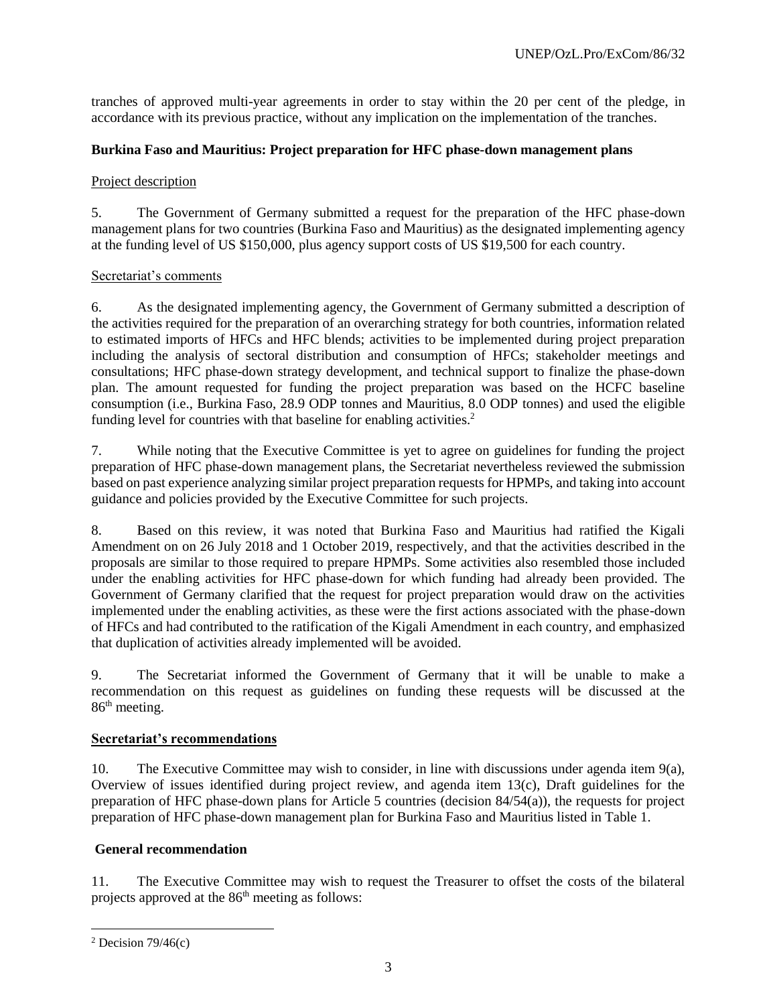tranches of approved multi-year agreements in order to stay within the 20 per cent of the pledge, in accordance with its previous practice, without any implication on the implementation of the tranches.

#### **Burkina Faso and Mauritius: Project preparation for HFC phase-down management plans**

#### Project description

5. The Government of Germany submitted a request for the preparation of the HFC phase-down management plans for two countries (Burkina Faso and Mauritius) as the designated implementing agency at the funding level of US \$150,000, plus agency support costs of US \$19,500 for each country.

#### Secretariat's comments

6. As the designated implementing agency, the Government of Germany submitted a description of the activities required for the preparation of an overarching strategy for both countries, information related to estimated imports of HFCs and HFC blends; activities to be implemented during project preparation including the analysis of sectoral distribution and consumption of HFCs; stakeholder meetings and consultations; HFC phase-down strategy development, and technical support to finalize the phase-down plan. The amount requested for funding the project preparation was based on the HCFC baseline consumption (i.e., Burkina Faso, 28.9 ODP tonnes and Mauritius, 8.0 ODP tonnes) and used the eligible funding level for countries with that baseline for enabling activities.<sup>2</sup>

7. While noting that the Executive Committee is yet to agree on guidelines for funding the project preparation of HFC phase-down management plans, the Secretariat nevertheless reviewed the submission based on past experience analyzing similar project preparation requests for HPMPs, and taking into account guidance and policies provided by the Executive Committee for such projects.

8. Based on this review, it was noted that Burkina Faso and Mauritius had ratified the Kigali Amendment on on 26 July 2018 and 1 October 2019, respectively, and that the activities described in the proposals are similar to those required to prepare HPMPs. Some activities also resembled those included under the enabling activities for HFC phase-down for which funding had already been provided. The Government of Germany clarified that the request for project preparation would draw on the activities implemented under the enabling activities, as these were the first actions associated with the phase-down of HFCs and had contributed to the ratification of the Kigali Amendment in each country, and emphasized that duplication of activities already implemented will be avoided.

9. The Secretariat informed the Government of Germany that it will be unable to make a recommendation on this request as guidelines on funding these requests will be discussed at the 86<sup>th</sup> meeting.

### **Secretariat's recommendations**

10. The Executive Committee may wish to consider, in line with discussions under agenda item  $9(a)$ , Overview of issues identified during project review, and agenda item 13(c), Draft guidelines for the preparation of HFC phase-down plans for Article 5 countries (decision 84/54(a)), the requests for project preparation of HFC phase-down management plan for Burkina Faso and Mauritius listed in Table 1.

### **General recommendation**

11. The Executive Committee may wish to request the Treasurer to offset the costs of the bilateral projects approved at the 86<sup>th</sup> meeting as follows:

 $\overline{a}$ 

<sup>&</sup>lt;sup>2</sup> Decision  $79/46(c)$